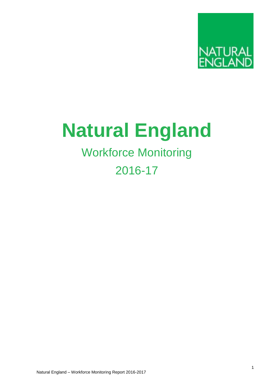

# **Natural England**

# Workforce Monitoring

# 2016-17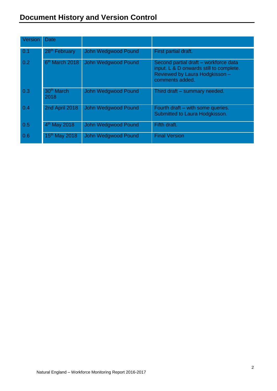| Version | Date                           |                            |                                                                                                                                       |
|---------|--------------------------------|----------------------------|---------------------------------------------------------------------------------------------------------------------------------------|
| 0.1     | 28 <sup>th</sup> February      | John Wedgwood Pound        | First partial draft.                                                                                                                  |
| 0.2     | 6 <sup>th</sup> March 2018     | John Wedgwood Pound        | Second partial draft - workforce data<br>input. L & D onwards still to complete.<br>Reviewed by Laura Hodgkisson -<br>comments added. |
| 0.3     | 30 <sup>th</sup> March<br>2018 | John Wedgwood Pound        | Third draft - summary needed.                                                                                                         |
| 0.4     | 2nd April 2018                 | <b>John Wedgwood Pound</b> | Fourth draft – with some queries.<br>Submitted to Laura Hodgkisson.                                                                   |
| 0.5     | 4 <sup>th</sup> May 2018       | John Wedgwood Pound        | Fifth draft.                                                                                                                          |
| 0.6     | 15 <sup>th</sup> May 2018      | John Wedgwood Pound        | <b>Final Version</b>                                                                                                                  |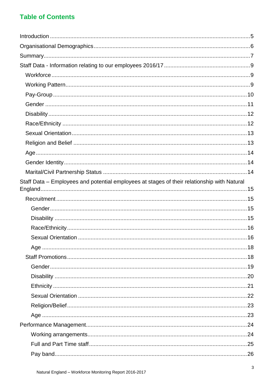# **Table of Contents**

| Staff Data - Employees and potential employees at stages of their relationship with Natural |
|---------------------------------------------------------------------------------------------|
|                                                                                             |
|                                                                                             |
|                                                                                             |
|                                                                                             |
|                                                                                             |
|                                                                                             |
|                                                                                             |
|                                                                                             |
|                                                                                             |
|                                                                                             |
|                                                                                             |
|                                                                                             |
|                                                                                             |
|                                                                                             |
|                                                                                             |
|                                                                                             |
|                                                                                             |
|                                                                                             |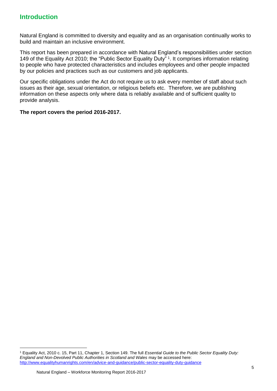### <span id="page-4-0"></span>**Introduction**

Natural England is committed to diversity and equality and as an organisation continually works to build and maintain an inclusive environment.

This report has been prepared in accordance with Natural England's responsibilities under section 149 of the Equality Act 2010; the "Public Sector Equality Duty" 1. It comprises information relating to people who have protected characteristics and includes employees and other people impacted by our policies and practices such as our customers and job applicants.

Our specific obligations under the Act do not require us to ask every member of staff about such issues as their age, sexual orientation, or religious beliefs etc. Therefore, we are publishing information on these aspects only where data is reliably available and of sufficient quality to provide analysis.

**The report covers the period 2016-2017.** 

<sup>1</sup> Equality Act, 2010 c. 15, Part 11, Chapter 1, Section 149. The full *Essential Guide to the Public Sector Equality Duty: England and Non-Devolved Public Authorities in Scotland and Wales* may be accessed here: <http://www.equalityhumanrights.com/en/advice-and-guidance/public-sector-equality-duty-guidance>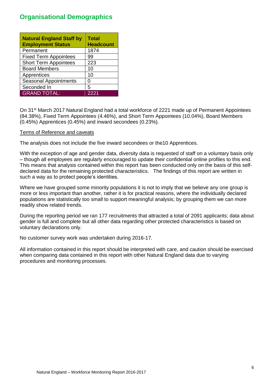# <span id="page-5-0"></span>**Organisational Demographics**

| <b>Natural England Staff by</b><br><b>Employment Status</b> | Total<br><b>Headcount</b> |
|-------------------------------------------------------------|---------------------------|
| Permanent                                                   | 1874                      |
| <b>Fixed Term Appointees</b>                                | 99                        |
| <b>Short Term Appointees</b>                                | 223                       |
| <b>Board Members</b>                                        | 10                        |
| Apprentices                                                 | 10                        |
| <b>Seasonal Appointments</b>                                | O                         |
| Seconded In                                                 | 5                         |
| <b>GRAND TOTAL:</b>                                         | 2221                      |

On 31<sup>st</sup> March 2017 Natural England had a total workforce of 2221 made up of Permanent Appointees (84.38%), Fixed Term Appointees (4.46%), and Short Term Appointees (10.04%), Board Members (0.45%) Apprentices (0.45%) and inward secondees (0.23%).

#### Terms of Reference and caveats

The analysis does not include the five inward secondees or the10 Apprentices.

With the exception of age and gender data, diversity data is requested of staff on a voluntary basis only – though all employees are regularly encouraged to update their confidential online profiles to this end. This means that analysis contained within this report has been conducted only on the basis of this selfdeclared data for the remaining protected characteristics. The findings of this report are written in such a way as to protect people's identities.

Where we have grouped some minority populations it is not to imply that we believe any one group is more or less important than another, rather it is for practical reasons, where the individually declared populations are statistically too small to support meaningful analysis; by grouping them we can more readily show related trends.

During the reporting period we ran 177 recruitments that attracted a total of 2091 applicants; data about gender is full and complete but all other data regarding other protected characteristics is based on voluntary declarations only.

No customer survey work was undertaken during 2016-17.

All information contained in this report should be interpreted with care, and caution should be exercised when comparing data contained in this report with other Natural England data due to varying procedures and monitoring processes.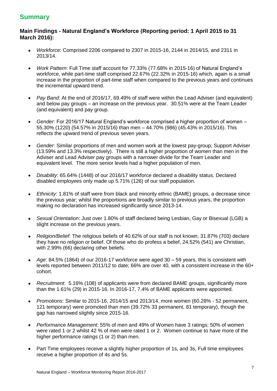# <span id="page-6-0"></span>**Summary**

#### **Main Findings - Natural England's Workforce (Reporting period: 1 April 2015 to 31 March 2016):**

- *Workforce*: Comprised 2206 compared to 2307 in 2015-16, 2144 in 2014/15, and 2311 in 2013/14.
- *Work Pattern*: Full Time staff account for 77.33% (77.68% in 2015-16) of Natural England's workforce, while part-time staff comprised 22.67% (22.32% in 2015-16) which, again is a small increase in the proportion of part-time staff when compared to the previous years and continues the incremental upward trend.
- *Pay Band*: At the end of 2016/17, 69.49% of staff were within the Lead Adviser (and equivalent) and below pay groups – an increase on the previous year. 30.51% were at the Team Leader (and equivalent) and pay group.
- *Gender*: For 2016/17 Natural England's workforce comprised a higher proportion of women 55.30% (1220) (54.57% in 2015/16) than men – 44.70% (986) (45.43% in 2015/16). This reflects the upward trend of previous seven years.
- *Gender*: Similar proportions of men and women work at the lowest pay-group; Support Adviser (13.59% and 13.3% respectively). There is still a higher proportion of women than men in the Adviser and Lead Adviser pay groups with a narrower divide for the Team Leader and equivalent level. The more senior levels had a higher population of men.
- *Disability*: 65.64% (1448) of our 2016/17 workforce declared a disability status. Declared disabled employees only made up 5.71% (126) of our staff population.
- *Ethnicity*: 1.81% of staff were from black and minority ethnic (BAME) groups, a decrease since the previous year; whilst the proportions are broadly similar to previous years, the proportion making no declaration has increased significantly since 2013-14.
- *Sexual Orientation*: Just over 1.80% of staff declared being Lesbian, Gay or Bisexual (LGB) a slight increase on the previous years.
- *Religion/Belief*: The religious beliefs of 40.62% of our staff is not known, 31.87% (703) declare they have no religion or belief. Of those who do profess a belief, 24.52% (541) are Christian, with 2.99% (66) declaring other beliefs.
- *Age*: 84.5% (1864) of our 2016-17 workforce were aged 30 59 years, this is consistent with levels reported between 2011/12 to date; 66% are over 40, with a consistent increase in the 60+ cohort.
- *Recruitment*: 5.16% (108) of applicants were from declared BAME groups, significantly more than the 1.61% (29) in 2015-16. In 2016-17, 7.4% of BAME applicants were appointed.
- *Promotions*: Similar to 2015-16, 2014/15 and 2013/14, more women (60.28% 52 permanent, 121 temporary) were promoted than men (39.72% 33 permanent, 81 temporary), though the gap has narrowed slightly since 2015-16.
- *Performance Management*: 55% of men and 49% of Women have 3 ratings; 50% of women were rated 1 or 2 whilst 42 % of men were rated 1 or 2. Women continue to have more of the higher performance ratings (1 or 2) than men.
- Part Time employees receive a slightly higher proportion of 1s, and 3s, Full time employees receive a higher proportion of 4s and 5s.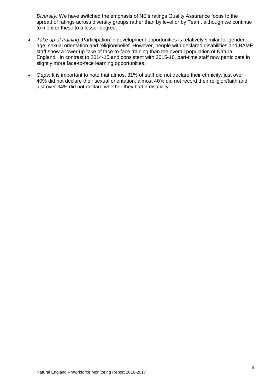*Diversity:* We have switched the emphasis of NE's ratings Quality Assurance focus to the spread of ratings across diversity groups rather than by level or by Team, although we continue to monitor these to a lesser degree.

- *Take up of training*: Participation in development opportunities is relatively similar for gender, age, sexual orientation and religion/belief. However, people with declared disabilities and BAME staff show a lower up-take of face-to-face training than the overall population of Natural England. In contrast to 2014-15 and consistent with 2015-16, part-time staff now participate in slightly more face-to-face learning opportunities.
- *Gaps*: It is important to note that almost 31% of staff did not declare their ethnicity, just over 40% did not declare their sexual orientation, almost 40% did not record their religion/faith and just over 34% did not declare whether they had a disability.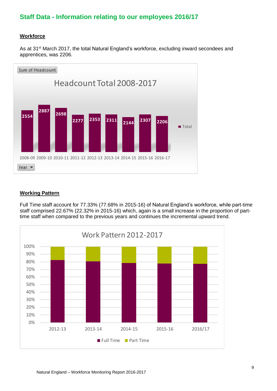# <span id="page-8-0"></span>**Staff Data - Information relating to our employees 2016/17**

#### <span id="page-8-1"></span>**Workforce**

As at 31<sup>st</sup> March 2017, the total Natural England's workforce, excluding inward secondees and apprentices, was 2206.



#### <span id="page-8-2"></span>**Working Pattern**

Full Time staff account for 77.33% (77.68% in 2015-16) of Natural England's workforce, while part-time staff comprised 22.67% (22.32% in 2015-16) which, again is a small increase in the proportion of parttime staff when compared to the previous years and continues the incremental upward trend.

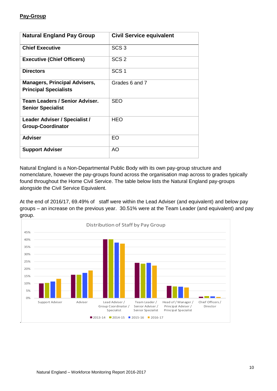#### <span id="page-9-0"></span>**Pay-Group**

| <b>Natural England Pay Group</b>                                     | <b>Civil Service equivalent</b> |
|----------------------------------------------------------------------|---------------------------------|
| <b>Chief Executive</b>                                               | SCS <sub>3</sub>                |
| <b>Executive (Chief Officers)</b>                                    | SCS <sub>2</sub>                |
| <b>Directors</b>                                                     | SCS <sub>1</sub>                |
| <b>Managers, Principal Advisers,</b><br><b>Principal Specialists</b> | Grades 6 and 7                  |
| Team Leaders / Senior Adviser.<br><b>Senior Specialist</b>           | <b>SEO</b>                      |
| Leader Adviser / Specialist /<br><b>Group-Coordinator</b>            | <b>HEO</b>                      |
| <b>Adviser</b>                                                       | EO                              |
| <b>Support Adviser</b>                                               | AO                              |

Natural England is a Non-Departmental Public Body with its own pay-group structure and nomenclature, however the pay-groups found across the organisation map across to grades typically found throughout the Home Civil Service. The table below lists the Natural England pay-groups alongside the Civil Service Equivalent.

At the end of 2016/17, 69.49% of staff were within the Lead Adviser (and equivalent) and below pay groups – an increase on the previous year. 30.51% were at the Team Leader (and equivalent) and pay group.

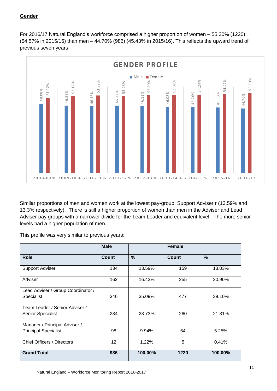#### <span id="page-10-0"></span>**Gender**

For 2016/17 Natural England's workforce comprised a higher proportion of women – 55.30% (1220) (54.57% in 2015/16) than men – 44.70% (986) (45.43% in 2015/16). This reflects the upward trend of previous seven years.



Similar proportions of men and women work at the lowest pay-group; Support Adviser r (13.59% and 13.3% respectively). There is still a higher proportion of women than men in the Adviser and Lead Adviser pay groups with a narrower divide for the Team Leader and equivalent level. The more senior levels had a higher population of men.

This profile was very similar to previous years:

|                                    | <b>Male</b>     |         | <b>Female</b> |               |
|------------------------------------|-----------------|---------|---------------|---------------|
| <b>Role</b>                        | Count           | $\%$    | <b>Count</b>  | $\frac{0}{0}$ |
| <b>Support Adviser</b>             | 134             | 13.59%  | 159           | 13.03%        |
| Adviser                            | 162             | 16.43%  | 255           | 20.90%        |
| Lead Adviser / Group Coordinator / |                 |         |               |               |
| Specialist                         | 346             | 35.09%  | 477           | 39.10%        |
| Team Leader / Senior Adviser /     |                 |         |               |               |
| <b>Senior Specialist</b>           | 234             | 23.73%  | 260           | 21.31%        |
| Manager / Principal Adviser /      |                 |         |               |               |
| <b>Principal Specialist</b>        | 98              | 9.94%   | 64            | 5.25%         |
| Chief Officers / Directors         | 12 <sup>2</sup> | 1.22%   | 5             | 0.41%         |
| <b>Grand Total</b>                 | 986             | 100.00% | 1220          | 100.00%       |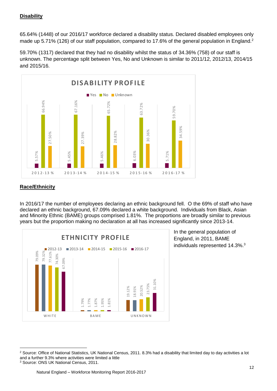#### <span id="page-11-0"></span>**Disability**

65.64% (1448) of our 2016/17 workforce declared a disability status. Declared disabled employees only made up 5.71% (126) of our staff population, compared to 17.6% of the general population in England.<sup>2</sup>

59.70% (1317) declared that they had no disability whilst the status of 34.36% (758) of our staff is unknown. The percentage split between Yes, No and Unknown is similar to 2011/12, 2012/13, 2014/15 and 2015/16.



#### <span id="page-11-1"></span>**Race/Ethnicity**

In 2016/17 the number of employees declaring an ethnic background fell. O the 69% of staff who have declared an ethnic background, 67.09% declared a white background. Individuals from Black, Asian and Minority Ethnic (BAME) groups comprised 1.81%. The proportions are broadly similar to previous years but the proportion making no declaration at all has increased significantly since 2013-14.



In the general population of England, in 2011, BAME individuals represented 14.3%. 3

<sup>&</sup>lt;sup>2</sup> Source: Office of National Statistics, UK National Census, 2011. 8.3% had a disability that limited day to day activities a lot and a further 9.3% where activities were limited a little  $3$  Source: ONS UK National Census, 2011.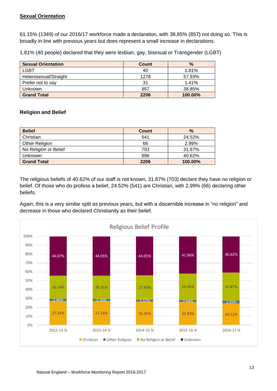#### <span id="page-12-0"></span>**Sexual Orientation**

61.15% (1349) of our 2016/17 workforce made a declaration, with 38.85% (857) not doing so. This is broadly in line with previous years but does represent a small increase in declarations.

1.81% (40 people) declared that they were lesbian, gay, bisexual or Transgender (LGBT)

| <b>Sexual Orientation</b> | Count | $\frac{9}{6}$ |
|---------------------------|-------|---------------|
| <b>LGBT</b>               | 40    | 1.81%         |
| Heterosexual/Straight     | 1278  | 57.93%        |
| Prefer not to say         | 31    | 1.41%         |
| <b>Unknown</b>            | 857   | 38.85%        |
| <b>Grand Total</b>        | 2206  | 100.00%       |

#### <span id="page-12-1"></span>**Religion and Belief**

| <b>Belief</b>         | <b>Count</b> | $\%$    |
|-----------------------|--------------|---------|
| Christian             | 541          | 24.52%  |
| <b>Other Religion</b> | 66           | 2.99%   |
| No Religion or Belief | 703          | 31.87%  |
| <b>Unknown</b>        | 896          | 40.62%  |
| <b>Grand Total</b>    | 2206         | 100.00% |

The religious beliefs of 40.62% of our staff is not known, 31.87% (703) declare they have no religion or belief. Of those who do profess a belief, 24.52% (541) are Christian, with 2.99% (66) declaring other beliefs.

Again, this is a very similar split as previous years, but with a discernible increase in "no religion" and decrease in those who declared Christianity as their belief.

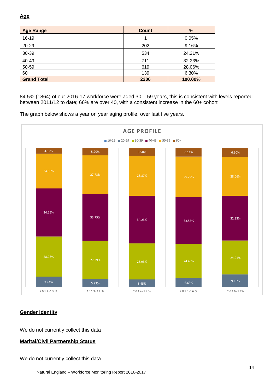<span id="page-13-0"></span>

| <b>Age Range</b>   | <b>Count</b> | $\frac{9}{6}$ |
|--------------------|--------------|---------------|
| $16 - 19$          |              | 0.05%         |
| 20-29              | 202          | 9.16%         |
| 30-39              | 534          | 24.21%        |
| 40-49              | 711          | 32.23%        |
| 50-59              | 619          | 28.06%        |
| $60+$              | 139          | 6.30%         |
| <b>Grand Total</b> | 2206         | 100.00%       |

between 2011/12 to date; 66% are over 40, with a consistent increase in the 60+ cohort



The graph below shows a year on year aging profile, over last five years.

#### <span id="page-13-1"></span>**Gender Identity**

We do not currently collect this data

#### <span id="page-13-2"></span>**Marital/Civil Partnership Status**

We do not currently collect this data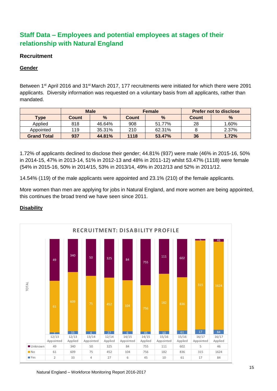# <span id="page-14-0"></span>**Staff Data – Employees and potential employees at stages of their relationship with Natural England**

#### <span id="page-14-1"></span>**Recruitment**

#### <span id="page-14-2"></span>**Gender**

Between 1<sup>st</sup> April 2016 and 31<sup>st</sup> March 2017, 177 recruitments were initiated for which there were 2091 applicants. Diversity information was requested on a voluntary basis from all applicants, rather than mandated.

|                    | <b>Male</b>  |        | Female       |               | <b>Prefer not to disclose</b> |               |
|--------------------|--------------|--------|--------------|---------------|-------------------------------|---------------|
| <b>Type</b>        | <b>Count</b> | $\%$   | <b>Count</b> | $\frac{0}{0}$ | <b>Count</b>                  | $\frac{0}{0}$ |
| Applied            | 818          | 46.64% | 908          | 51.77%        | 28                            | 1.60%         |
| Appointed          | 119          | 35.31% | 210          | 62.31%        |                               | 2.37%         |
| <b>Grand Total</b> | 937          | 44.81% | 1118         | 53.47%        | 36                            | 1.72%         |

1.72% of applicants declined to disclose their gender; 44.81% (937) were male (46% in 2015-16, 50% in 2014-15, 47% in 2013-14, 51% in 2012-13 and 48% in 2011-12) whilst 53.47% (1118) were female (54% in 2015-16, 50% in 2014/15, 53% in 2013/14, 49% in 2012/13 and 52% in 2011/12.

14.54% (119) of the male applicants were appointed and 23.1% (210) of the female applicants.

More women than men are applying for jobs in Natural England, and more women are being appointed, this continues the broad trend we have seen since 2011.

#### <span id="page-14-3"></span>**Disability**

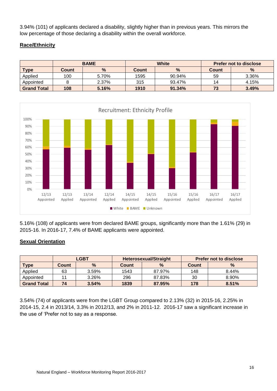3.94% (101) of applicants declared a disability, slightly higher than in previous years. This mirrors the low percentage of those declaring a disability within the overall workforce.

#### <span id="page-15-0"></span>**Race/Ethnicity**

|                    | <b>BAME</b> |       | <b>White</b> |        | <b>Prefer not to disclose</b> |               |
|--------------------|-------------|-------|--------------|--------|-------------------------------|---------------|
| <b>Type</b>        | Count       | $\%$  | Count        | %      | Count                         | $\frac{9}{6}$ |
| Applied            | 100         | 5.70% | 1595         | 90.94% | 59                            | 3.36%         |
| Appointed          |             | 2.37% | 315          | 93.47% | 14                            | 4.15%         |
| <b>Grand Total</b> | 108         | 5.16% | 1910         | 91.34% | 73                            | 3.49%         |



5.16% (108) of applicants were from declared BAME groups, significantly more than the 1.61% (29) in 2015-16. In 2016-17, 7.4% of BAME applicants were appointed.

#### <span id="page-15-1"></span>**Sexual Orientation**

|                    | <b>LGBT</b> |       | <b>Heterosexual/Straight</b> |               | <b>Prefer not to disclose</b> |               |
|--------------------|-------------|-------|------------------------------|---------------|-------------------------------|---------------|
| <b>Type</b>        | Count       | $\%$  | Count                        | $\frac{9}{6}$ | Count                         | $\frac{9}{6}$ |
| Applied            | 63          | 3.59% | 1543                         | 87.97%        | 148                           | 8.44%         |
| Appointed          |             | 3.26% | 296                          | 87.83%        | 30                            | 8.90%         |
| <b>Grand Total</b> | 74          | 3.54% | 1839                         | 87.95%        | 178                           | 8.51%         |

3.54% (74) of applicants were from the LGBT Group compared to 2.13% (32) in 2015-16, 2.25% in 2014-15, 2.4 in 2013/14, 3.3% in 2012/13, and 2% in 2011-12. 2016-17 saw a significant increase in the use of 'Prefer not to say as a response.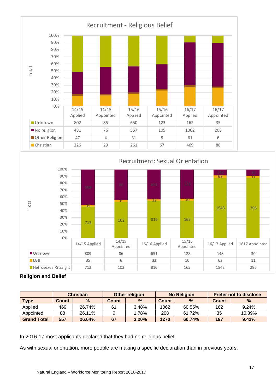

#### **Religion and Belief**

|                    | <b>Christian</b> |        | Other religion |               | <b>No Religion</b> |        | <b>Prefer not to disclose</b> |        |
|--------------------|------------------|--------|----------------|---------------|--------------------|--------|-------------------------------|--------|
| <b>Type</b>        | Count            | %      | Count          | $\frac{9}{6}$ | Count              | %      | Count                         | $\%$   |
| Applied            | 469              | 26.74% | 61             | 3.48%         | 1062               | 60.55% | 162                           | 9.24%  |
| Appointed          | 88               | 26.11% |                | .78%          | 208                | 61.72% | 35                            | 10.39% |
| <b>Grand Total</b> | 557              | 26.64% | 67             | 3.20%         | 1270               | 60.74% | 197                           | 9.42%  |

In 2016-17 most applicants declared that they had no religious belief.

As with sexual orientation, more people are making a specific declaration than in previous years.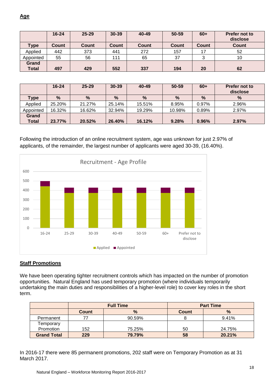<span id="page-17-0"></span>

|                       | $16 - 24$ | $25 - 29$ | $30 - 39$ | 40-49 | $50 - 59$ | $60+$ | Prefer not to<br>disclose |
|-----------------------|-----------|-----------|-----------|-------|-----------|-------|---------------------------|
| <b>Type</b>           | Count     | Count     | Count     | Count | Count     | Count | <b>Count</b>              |
| Applied               | 442       | 373       | 441       | 272   | 157       | 17    | 52                        |
| Appointed             | 55        | 56        | 111       | 65    | 37        |       | 10                        |
| Grand<br><b>Total</b> | 497       | 429       | 552       | 337   | 194       | 20    | 62                        |

|                | $16 - 24$ | $25 - 29$     | $30 - 39$ | 40-49  | 50-59  | $60+$         | Prefer not to<br>disclose |
|----------------|-----------|---------------|-----------|--------|--------|---------------|---------------------------|
| <b>Type</b>    | $\%$      | $\frac{9}{6}$ | %         | %      | %      | $\frac{0}{0}$ | $\%$                      |
| Applied        | 25.20%    | 21.27%        | 25.14%    | 15.51% | 8.95%  | 0.97%         | 2.96%                     |
| Appointed      | 16.32%    | 16.62%        | 32.94%    | 19.29% | 10.98% | 0.89%         | 2.97%                     |
| Grand<br>Total | 23.77%    | 20.52%        | 26.40%    | 16.12% | 9.28%  | 0.96%         | 2.97%                     |

Following the introduction of an online recruitment system, age was unknown for just 2.97% of applicants, of the remainder, the largest number of applicants were aged 30-39, (16.40%).



#### <span id="page-17-1"></span>**Staff Promotions**

We have been operating tighter recruitment controls which has impacted on the number of promotion opportunities. Natural England has used temporary promotion (where individuals temporarily undertaking the main duties and responsibilities of a higher-level role) to cover key roles in the short term.

|                    |              | <b>Full Time</b> | <b>Part Time</b> |        |  |  |
|--------------------|--------------|------------------|------------------|--------|--|--|
|                    | <b>Count</b> | $\frac{9}{6}$    | <b>Count</b>     | $\%$   |  |  |
| Permanent          |              | 90.59%           |                  | 9.41%  |  |  |
| Temporary          |              |                  |                  |        |  |  |
| Promotion          | 152          | 75.25%           | 50               | 24.75% |  |  |
| <b>Grand Total</b> | 229          | 79.79%           | 58               | 20.21% |  |  |

In 2016-17 there were 85 permanent promotions, 202 staff were on Temporary Promotion as at 31 March 2017.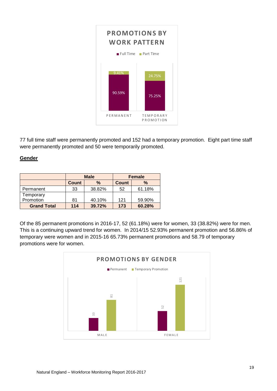

77 full time staff were permanently promoted and 152 had a temporary promotion. Eight part time staff were permanently promoted and 50 were temporarily promoted.

#### <span id="page-18-0"></span>**Gender**

|                    |              | <b>Male</b> | <b>Female</b> |               |  |  |
|--------------------|--------------|-------------|---------------|---------------|--|--|
|                    | <b>Count</b> | %           | <b>Count</b>  | $\frac{0}{0}$ |  |  |
| Permanent          | 33           | 38.82%      | 52            | 61.18%        |  |  |
| Temporary          |              |             |               |               |  |  |
| Promotion          | 81           | 40.10%      | 121           | 59.90%        |  |  |
| <b>Grand Total</b> | 114          | 39.72%      | 173           | 60.28%        |  |  |

Of the 85 permanent promotions in 2016-17, 52 (61.18%) were for women, 33 (38.82%) were for men. This is a continuing upward trend for women. In 2014/15 52.93% permanent promotion and 56.86% of temporary were women and in 2015-16 65.73% permanent promotions and 58.79 of temporary promotions were for women.

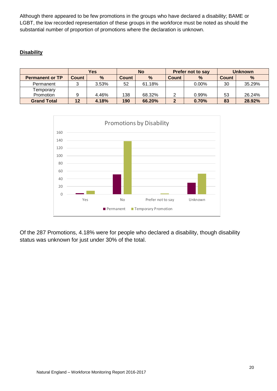Although there appeared to be few promotions in the groups who have declared a disability; BAME or LGBT, the low recorded representation of these groups in the workforce must be noted as should the substantial number of proportion of promotions where the declaration is unknown.

#### <span id="page-19-0"></span>**Disability**

|                        | Yes          |               | <b>No</b>    |        |                               | <b>Prefer not to say</b> | <b>Unknown</b> |        |
|------------------------|--------------|---------------|--------------|--------|-------------------------------|--------------------------|----------------|--------|
| <b>Permanent or TP</b> | <b>Count</b> | $\frac{9}{6}$ | <b>Count</b> | $\%$   | $\frac{0}{0}$<br><b>Count</b> |                          | Count          | %      |
| Permanent              |              | $3.53\%$      | 52           | 61.18% |                               | $0.00\%$                 | 30             | 35.29% |
| Temporary              |              |               |              |        |                               |                          |                |        |
| Promotion              |              | 4.46%         | 138          | 68.32% |                               | 0.99%                    | 53             | 26.24% |
| <b>Grand Total</b>     | 12           | 4.18%         | 190          | 66.20% |                               | 0.70%                    | 83             | 28.92% |



Of the 287 Promotions, 4.18% were for people who declared a disability, though disability status was unknown for just under 30% of the total.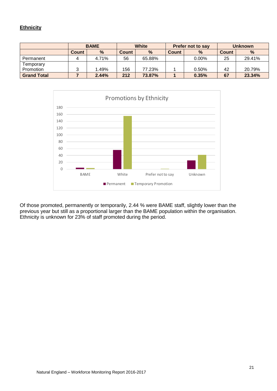#### <span id="page-20-0"></span>**Ethnicity**

|                    | <b>BAME</b>  |               |              | <b>White</b> |                      | <b>Prefer not to say</b> | <b>Unknown</b> |        |
|--------------------|--------------|---------------|--------------|--------------|----------------------|--------------------------|----------------|--------|
|                    | <b>Count</b> | $\frac{9}{6}$ | <b>Count</b> | $\%$         | $\%$<br><b>Count</b> |                          | <b>Count</b>   | %      |
| Permanent          |              | 4.71%         | 56           | 65.88%       |                      | $0.00\%$                 | 25             | 29.41% |
| Temporary          |              |               |              |              |                      |                          |                |        |
| Promotion          |              | 1.49%         | 156          | 77.23%       |                      | 0.50%                    | 42             | 20.79% |
| <b>Grand Total</b> |              | 2.44%         | 212          | 73.87%       |                      | 0.35%                    | 67             | 23.34% |



Of those promoted, permanently or temporarily, 2.44 % were BAME staff, slightly lower than the previous year but still as a proportional larger than the BAME population within the organisation. Ethnicity is unknown for 23% of staff promoted during the period.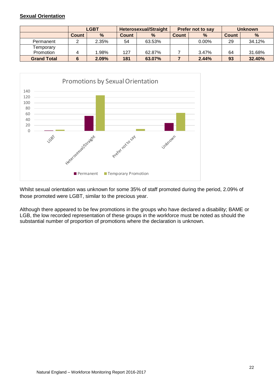#### <span id="page-21-0"></span>**Sexual Orientation**

|                    | <b>LGBT</b> |       |              | <b>Heterosexual/Straight</b> |       | <b>Prefer not to say</b> | <b>Unknown</b> |        |
|--------------------|-------------|-------|--------------|------------------------------|-------|--------------------------|----------------|--------|
|                    | Count       | $\%$  | <b>Count</b> | $\%$                         | Count | $\frac{9}{6}$            | <b>Count</b>   | %      |
| Permanent          |             | 2.35% | 54           | 63.53%                       |       | $0.00\%$                 | 29             | 34.12% |
| Temporary          |             |       |              |                              |       |                          |                |        |
| Promotion          |             | 1.98% | 127          | 62.87%                       |       | 3.47%                    | 64             | 31.68% |
| <b>Grand Total</b> |             | 2.09% | 181          | 63.07%                       |       | 2.44%                    | 93             | 32.40% |



Whilst sexual orientation was unknown for some 35% of staff promoted during the period, 2.09% of those promoted were LGBT, similar to the precious year.

Although there appeared to be few promotions in the groups who have declared a disability; BAME or LGB, the low recorded representation of these groups in the workforce must be noted as should the substantial number of proportion of promotions where the declaration is unknown.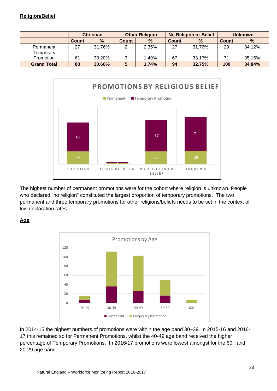<span id="page-22-0"></span>

|                    | <b>Christian</b> |               |              | <b>Other Religion</b> |                      | <b>No Religion or Belief</b> | <b>Unknown</b> |               |
|--------------------|------------------|---------------|--------------|-----------------------|----------------------|------------------------------|----------------|---------------|
|                    | Count            | $\frac{9}{6}$ | <b>Count</b> | $\%$                  | $\%$<br><b>Count</b> |                              | Count          | $\frac{9}{6}$ |
| Permanent          | 27               | 31.76%        |              | 2.35%                 | 27                   | 31.76%                       | 29             | 34.12%        |
| Temporary          |                  |               |              |                       |                      |                              |                |               |
| Promotion          | 61               | 30.20%        |              | 1.49%                 | 67                   | 33.17%                       | 71             | 35.15%        |
| <b>Grand Total</b> | 88               | 30.66%        | 5            | 1.74%                 | 32.75%<br>94         |                              | 100            | 34.84%        |



The highest number of permanent promotions were for the cohort where religion is unknown. People who declared "no religion" constituted the largest proportion of temporary promotions. The two permanent and three temporary promotions for other religions/beliefs needs to be set in the context of low declaration rates.

#### <span id="page-22-1"></span>**Age**



In 2014-15 the highest numbers of promotions were within the age band 30–39. In 2015-16 and 2016- 17 this remained so for Permanent Promotions, whilst the 40-49 age band received the higher percentage of Temporary Promotions. In 2016/17 promotions were lowest amongst for the 60+ and 20-29 age band.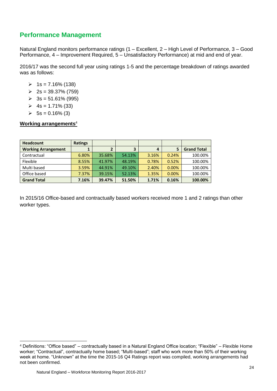# <span id="page-23-0"></span>**Performance Management**

Natural England monitors performance ratings (1 – Excellent, 2 – High Level of Performance, 3 – Good Performance, 4 – Improvement Required, 5 – Unsatisfactory Performance) at mid and end of year.

2016/17 was the second full year using ratings 1-5 and the percentage breakdown of ratings awarded was as follows:

- $\geq 1$ s = 7.16% (138)
- $\geq 2s = 39.37\% (759)$
- $\geq 3s = 51.61\%$  (995)
- $\geq 4s = 1.71\%$  (33)
- $\triangleright$  5s = 0.16% (3)

#### <span id="page-23-1"></span>**Working arrangements**<sup>4</sup>

| <b>Headcount</b>           | <b>Ratings</b> |        |        |       |       |                    |
|----------------------------|----------------|--------|--------|-------|-------|--------------------|
| <b>Working Arrangement</b> |                |        | 3      | 4     | 5     | <b>Grand Total</b> |
| Contractual                | 6.80%          | 35.68% | 54.13% | 3.16% | 0.24% | 100.00%            |
| Flexible                   | 8.55%          | 41.97% | 48.19% | 0.78% | 0.52% | 100.00%            |
| Multi based                | 3.59%          | 44.91% | 49.10% | 2.40% | 0.00% | 100.00%            |
| Office based               | 7.37%          | 39.15% | 52.13% | 1.35% | 0.00% | 100.00%            |
| <b>Grand Total</b>         | 7.16%          | 39.47% | 51.50% | 1.71% | 0.16% | 100.00%            |

In 2015/16 Office-based and contractually based workers received more 1 and 2 ratings than other worker types.

<sup>4</sup> Definitions: "Office based" – contractually based in a Natural England Office location; "Flexible" – Flexible Home worker; "Contractual", contractually home based; "Multi-based"; staff who work more than 50% of their working week at home. "Unknown" at the time the 2015-16 Q4 Ratings report was compiled, working arrangements had not been confirmed.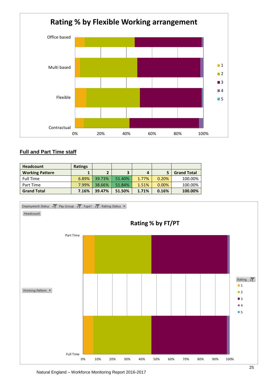

#### <span id="page-24-0"></span>**Full and Part Time staff**

| <b>Headcount</b>       | <b>Ratings</b> |                |        |       |          |                    |
|------------------------|----------------|----------------|--------|-------|----------|--------------------|
| <b>Working Pattern</b> |                | $\overline{2}$ | 3      | 4     |          | <b>Grand Total</b> |
| <b>Full Time</b>       | 6.89%          | 39.73%         | 51.40% | 1.77% | 0.20%    | 100.00%            |
| Part Time              | 7.99%          | 38.66%         | 51.84% | 1.51% | $0.00\%$ | 100.00%            |
| <b>Grand Total</b>     | 7.16%          | 39.47%         | 51.50% | 1.71% | 0.16%    | 100.00%            |



Natural England – Workforce Monitoring Report 2016-2017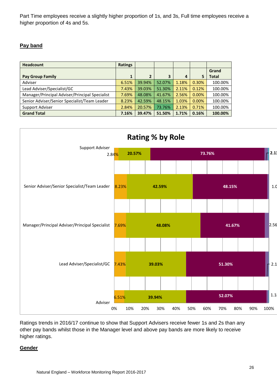Part Time employees receive a slightly higher proportion of 1s, and 3s, Full time employees receive a higher proportion of 4s and 5s.

#### <span id="page-25-0"></span>**Pay band**

| <b>Headcount</b>                               | <b>Ratings</b> |                |        |       |       |              |
|------------------------------------------------|----------------|----------------|--------|-------|-------|--------------|
|                                                |                |                |        |       |       | Grand        |
| <b>Pay Group Family</b>                        |                | $\overline{2}$ | 3      | 4     | 5     | <b>Total</b> |
| Adviser                                        | 6.51%          | 39.94%         | 52.07% | 1.18% | 0.30% | 100.00%      |
| Lead Adviser/Specialist/GC                     | 7.43%          | 39.03%         | 51.30% | 2.11% | 0.12% | 100.00%      |
| Manager/Principal Adviser/Principal Specialist | 7.69%          | 48.08%         | 41.67% | 2.56% | 0.00% | 100.00%      |
| Senior Adviser/Senior Specialist/Team Leader   | 8.23%          | 42.59%         | 48.15% | 1.03% | 0.00% | 100.00%      |
| Support Adviser                                | 2.84%          | 20.57%         | 73.76% | 2.13% | 0.71% | 100.00%      |
| <b>Grand Total</b>                             | 7.16%          | 39.47%         | 51.50% | 1.71% | 0.16% | 100.00%      |



Ratings trends in 2016/17 continue to show that Support Advisers receive fewer 1s and 2s than any other pay bands whilst those in the Manager level and above pay bands are more likely to receive higher ratings.

#### <span id="page-25-1"></span>**Gender**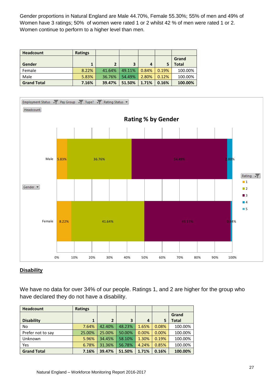Gender proportions in Natural England are Male 44.70%, Female 55.30%; 55% of men and 49% of Women have 3 ratings; 50% of women were rated 1 or 2 whilst 42 % of men were rated 1 or 2. Women continue to perform to a higher level than men.

| <b>Headcount</b>   | <b>Ratings</b> |        |        |       |       |         |
|--------------------|----------------|--------|--------|-------|-------|---------|
|                    |                |        |        |       |       | Grand   |
| <b>Gender</b>      | 1              | 2      | 3      | 4     |       | Total   |
| Female             | 8.22%          | 41.64% | 49.11% | 0.84% | 0.19% | 100.00% |
| Male               | 5.83%          | 36.76% | 54.49% | 2.80% | 0.12% | 100.00% |
| <b>Grand Total</b> | 7.16%          | 39.47% | 51.50% | 1.71% | 0.16% | 100.00% |



#### <span id="page-26-0"></span>**Disability**

We have no data for over 34% of our people. Ratings 1, and 2 are higher for the group who have declared they do not have a disability.

| <b>Headcount</b>   | <b>Ratings</b> |                |        |       |       |              |
|--------------------|----------------|----------------|--------|-------|-------|--------------|
|                    |                |                |        |       |       | Grand        |
| <b>Disability</b>  | 1              | $\overline{2}$ | 3      | 4     | 5     | <b>Total</b> |
| No                 | 7.64%          | 42.40%         | 48.23% | 1.65% | 0.08% | 100.00%      |
| Prefer not to say  | 25.00%         | 25.00%         | 50.00% | 0.00% | 0.00% | 100.00%      |
| Unknown            | 5.96%          | 34.45%         | 58.10% | 1.30% | 0.19% | 100.00%      |
| Yes                | 6.78%          | 31.36%         | 56.78% | 4.24% | 0.85% | 100.00%      |
| <b>Grand Total</b> | 7.16%          | 39.47%         | 51.50% | 1.71% | 0.16% | 100.00%      |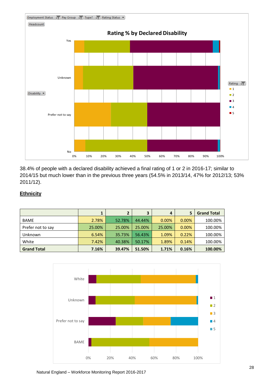

38.4% of people with a declared disability achieved a final rating of 1 or 2 in 2016-17; similar to 2014/15 but much lower than in the previous three years (54.5% in 2013/14, 47% for 2012/13; 53% 2011/12).

#### <span id="page-27-0"></span>**Ethnicity**

|                    | 1      |        | 3      | 4      | 5     | <b>Grand Total</b> |
|--------------------|--------|--------|--------|--------|-------|--------------------|
| <b>BAME</b>        | 2.78%  | 52.78% | 44.44% | 0.00%  | 0.00% | 100.00%            |
| Prefer not to say  | 25.00% | 25.00% | 25.00% | 25.00% | 0.00% | 100.00%            |
| Unknown            | 6.54%  | 35.73% | 56.43% | 1.09%  | 0.22% | 100.00%            |
| White              | 7.42%  | 40.38% | 50.17% | 1.89%  | 0.14% | 100.00%            |
| <b>Grand Total</b> | 7.16%  | 39.47% | 51.50% | 1.71%  | 0.16% | 100.00%            |

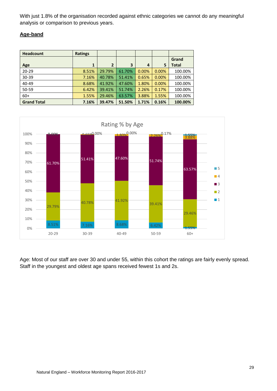With just 1.8% of the organisation recorded against ethnic categories we cannot do any meaningful analysis or comparison to previous years.

#### <span id="page-28-0"></span>**Age-band**

| <b>Headcount</b>   | <b>Ratings</b> |                |        |       |       |              |
|--------------------|----------------|----------------|--------|-------|-------|--------------|
|                    |                |                |        |       |       | Grand        |
| Age                | 1              | $\overline{2}$ | 3      | 4     | 5     | <b>Total</b> |
| $20 - 29$          | 8.51%          | 29.79%         | 61.70% | 0.00% | 0.00% | 100.00%      |
| 30-39              | 7.16%          | 40.78%         | 51.41% | 0.65% | 0.00% | 100.00%      |
| 40-49              | 8.68%          | 41.92%         | 47.60% | 1.80% | 0.00% | 100.00%      |
| 50-59              | 6.42%          | 39.41%         | 51.74% | 2.26% | 0.17% | 100.00%      |
| $60+$              | 1.55%          | 29.46%         | 63.57% | 3.88% | 1.55% | 100.00%      |
| <b>Grand Total</b> | 7.16%          | 39.47%         | 51.50% | 1.71% | 0.16% | 100.00%      |



Age: Most of our staff are over 30 and under 55, within this cohort the ratings are fairly evenly spread. Staff in the youngest and oldest age spans received fewest 1s and 2s.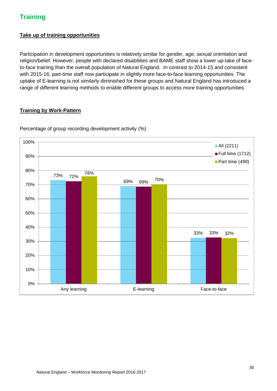# <span id="page-29-0"></span>**Training**

#### <span id="page-29-1"></span>**Take up of training opportunities**

Participation in development opportunities is relatively similar for gender, age, sexual orientation and religion/belief. However, people with declared disabilities and BAME staff show a lower up-take of faceto-face training than the overall population of Natural England. In contrast to 2014-15 and consistent with 2015-16, part-time staff now participate in slightly more face-to-face learning opportunities. The uptake of E-learning is not similarly diminished for these groups and Natural England has introduced a range of different learning methods to enable different groups to access more training opportunities.

#### <span id="page-29-2"></span>**Training by Work-Pattern**



Percentage of group recording development activity (%)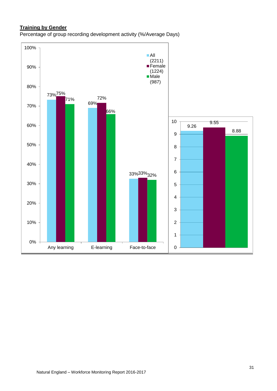#### <span id="page-30-0"></span>**Training by Gender**

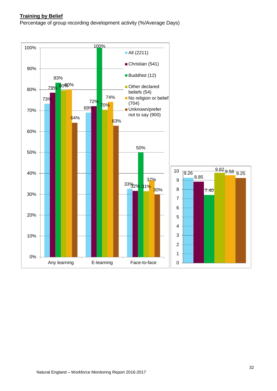#### <span id="page-31-0"></span>**Training by Belief**

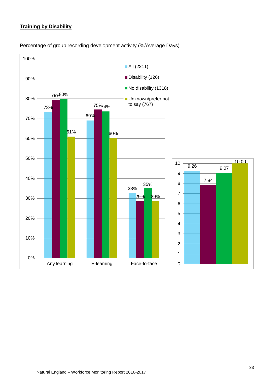#### <span id="page-32-0"></span>**Training by Disability**



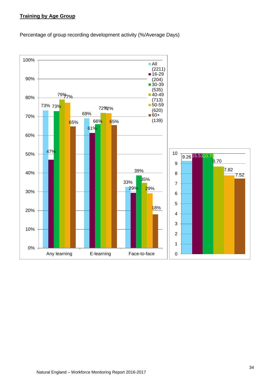#### <span id="page-33-0"></span>**Training by Age Group**

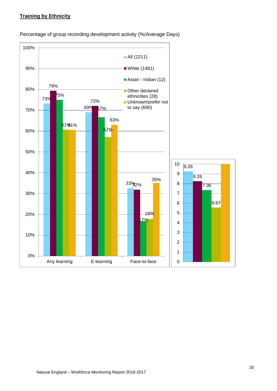#### <span id="page-34-0"></span>**Training by Ethnicity**

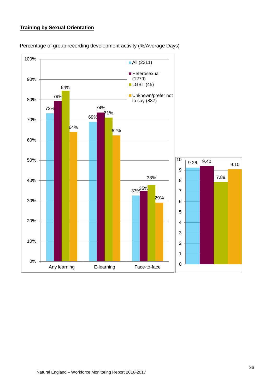#### <span id="page-35-0"></span>**Training by Sexual Orientation**

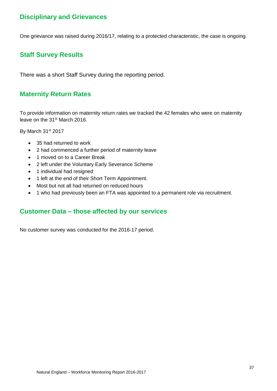# <span id="page-36-0"></span>**Disciplinary and Grievances**

One grievance was raised during 2016/17, relating to a protected characteristic, the case is ongoing.

# <span id="page-36-1"></span>**Staff Survey Results**

There was a short Staff Survey during the reporting period.

# <span id="page-36-2"></span>**Maternity Return Rates**

To provide information on maternity return rates we tracked the 42 females who were on maternity leave on the 31<sup>st</sup> March 2016.

By March 31<sup>st</sup> 2017

- 35 had returned to work
- 2 had commenced a further period of maternity leave
- 1 moved on to a Career Break
- 2 left under the Voluntary Early Severance Scheme
- 1 individual had resigned
- 1 left at the end of their Short Term Appointment.
- Most but not all had returned on reduced hours
- 1 who had previously been an FTA was appointed to a permanent role via recruitment.

#### <span id="page-36-3"></span>**Customer Data – those affected by our services**

No customer survey was conducted for the 2016-17 period.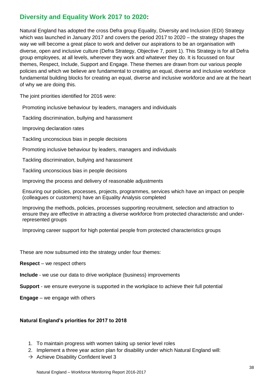# <span id="page-37-0"></span>**Diversity and Equality Work 2017 to 2020:**

Natural England has adopted the cross Defra group Equality, Diversity and Inclusion (EDI) Strategy which was launched in January 2017 and covers the period 2017 to 2020 – the strategy shapes the way we will become a great place to work and deliver our aspirations to be an organisation with diverse, open and inclusive culture (Defra Strategy, Objective 7, point 1). This Strategy is for all Defra group employees, at all levels, wherever they work and whatever they do. It is focussed on four themes, Respect, Include, Support and Engage. These themes are drawn from our various people policies and which we believe are fundamental to creating an equal, diverse and inclusive workforce fundamental building blocks for creating an equal, diverse and inclusive workforce and are at the heart of why we are doing this.

The joint priorities identified for 2016 were:

Promoting inclusive behaviour by leaders, managers and individuals

Tackling discrimination, bullying and harassment

Improving declaration rates

Tackling unconscious bias in people decisions

Promoting inclusive behaviour by leaders, managers and individuals

Tackling discrimination, bullying and harassment

Tackling unconscious bias in people decisions

Improving the process and delivery of reasonable adjustments

Ensuring our policies, processes, projects, programmes, services which have an impact on people (colleagues or customers) have an Equality Analysis completed

Improving the methods, policies, processes supporting recruitment, selection and attraction to ensure they are effective in attracting a diverse workforce from protected characteristic and underrepresented groups

Improving career support for high potential people from protected characteristics groups

These are now subsumed into the strategy under four themes:

**Respect** – we respect others

**Include** - we use our data to drive workplace (business) improvements

**Support** - we ensure everyone is supported in the workplace to achieve their full potential

**Engage** – we engage with others

#### **Natural England's priorities for 2017 to 2018**

- 1. To maintain progress with women taking up senior level roles
- 2. Implement a three year action plan for disability under which Natural England will:
- $\rightarrow$  Achieve Disability Confident level 3